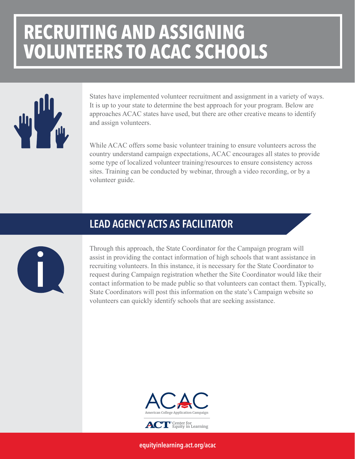## **RECRUITING AND ASSIGNING VOLUNTEERS TO ACAC SCHOOLS**



States have implemented volunteer recruitment and assignment in a variety of ways. It is up to your state to determine the best approach for your program. Below are approaches ACAC states have used, but there are other creative means to identify and assign volunteers.

While ACAC offers some basic volunteer training to ensure volunteers across the country understand campaign expectations, ACAC encourages all states to provide some type of localized volunteer training/resources to ensure consistency across sites. Training can be conducted by webinar, through a video recording, or by a volunteer guide.

#### LEAD AGENCY ACTS AS FACILITATOR



Through this approach, the State Coordinator for the Campaign program will assist in providing the contact information of high schools that want assistance in recruiting volunteers. In this instance, it is necessary for the State Coordinator to request during Campaign registration whether the Site Coordinator would like their contact information to be made public so that volunteers can contact them. Typically, State Coordinators will post this information on the state's Campaign website so volunteers can quickly identify schools that are seeking assistance.



**Center for Equity in Learning**

[equityinlearning.act.org/acac](https://equityinlearning.act.org/acac)